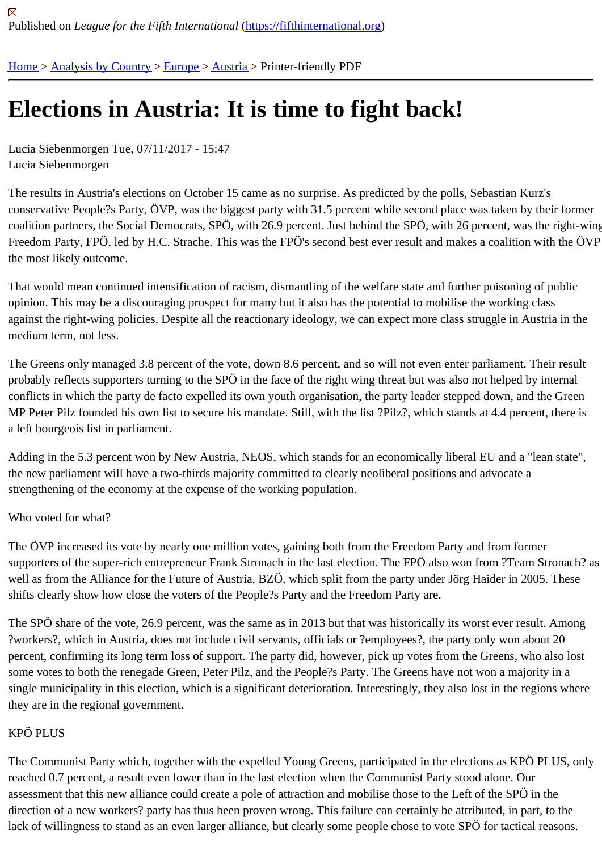# [Ele](https://fifthinternational.org/)[ctions in A](https://fifthinternational.org/category/1)[ustri](https://fifthinternational.org/category/1/128)[a: It](https://fifthinternational.org/category/1/128/132) is time to fight back!

Lucia Siebenmorgen Tue, 07/11/2017 - 15:47 Lucia Siebenmorgen

The results in Austria's elections on October 15 came as no surprise. As predicted by the polls, Sebastian Kurz's conservative People?s Party, ÖVP, was the biggest party with 31.5 percent while second place was taken by their coalition partners, the Social Democrats, SPÖ, with 26.9 percent. Just behind the SPÖ, with 26 percent, was the ri Freedom Party, FPÖ, led by H.C. Strache. This was the FPÖ's second best ever result and makes a coalition with the most likely outcome.

That would mean continued intensification of racism, dismantling of the welfare state and further poisoning of publ opinion. This may be a discouraging prospect for many but it also has the potential to mobilise the working class against the right-wing policies. Despite all the reactionary ideology, we can expect more class struggle in Austria in medium term, not less.

The Greens only managed 3.8 percent of the vote, down 8.6 percent, and so will not even enter parliament. Their probably reflects supporters turning to the SPÖ in the face of the right wing threat but was also not helped by inter conflicts in which the party de facto expelled its own youth organisation, the party leader stepped down, and the G MP Peter Pilz founded his own list to secure his mandate. Still, with the list ?Pilz?, which stands at 4.4 percent, the a left bourgeois list in parliament.

Adding in the 5.3 percent won by New Austria, NEOS, which stands for an economically liberal EU and a "lean sta the new parliament will have a two-thirds majority committed to clearly neoliberal positions and advocate a strengthening of the economy at the expense of the working population.

## Who voted for what?

The ÖVP increased its vote by nearly one million votes, gaining both from the Freedom Party and from former supporters of the super-rich entrepreneur Frank Stronach in the last election. The FPÖ also won from ?Team Stro well as from the Alliance for the Future of Austria, BZÖ, which split from the party under Jörg Haider in 2005. Thes shifts clearly show how close the voters of the People?s Party and the Freedom Party are.

The SPÖ share of the vote, 26.9 percent, was the same as in 2013 but that was historically its worst ever result. A ?workers?, which in Austria, does not include civil servants, officials or ?employees?, the party only won about 20 percent, confirming its long term loss of support. The party did, however, pick up votes from the Greens, who also some votes to both the renegade Green, Peter Pilz, and the People?s Party. The Greens have not won a majority single municipality in this election, which is a significant deterioration. Interestingly, they also lost in the regions wh they are in the regional government.

# KPÖ PLUS

The Communist Party which, together with the expelled Young Greens, participated in the elections as KPÖ PLUS reached 0.7 percent, a result even lower than in the last election when the Communist Party stood alone. Our assessment that this new alliance could create a pole of attraction and mobilise those to the Left of the SPÖ in the direction of a new workers? party has thus been proven wrong. This failure can certainly be attributed, in part, to th lack of willingness to stand as an even larger alliance, but clearly some people chose to vote SPÖ for tactical reas